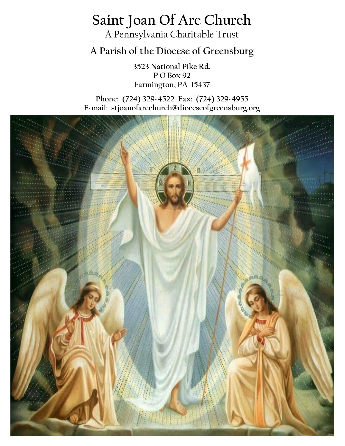# **Saint Joan Of Arc Church**

A Pennsylvania Charitable Trust

**A Parish of the Diocese of Greensburg**

**3523 National Pike Rd. P O Box 92 Farmington, PA 15437**

**Phone: (724) 329-4522 Fax: (724) 329-4955 E-mail: stjoanofarcchurch@dioceseofgreensburg.org**

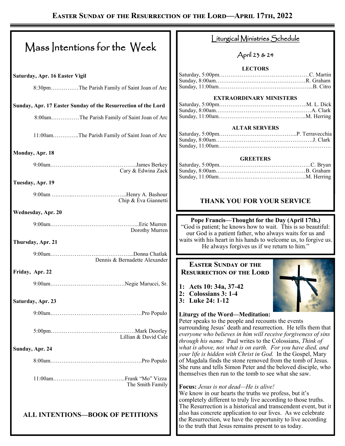|                                                               | <u>iturgical Ministries Schedule</u>                                                                                                                                                                                                                                                                                   |  |
|---------------------------------------------------------------|------------------------------------------------------------------------------------------------------------------------------------------------------------------------------------------------------------------------------------------------------------------------------------------------------------------------|--|
| Mass Intentions for the Week                                  | April 23 & 24                                                                                                                                                                                                                                                                                                          |  |
|                                                               | <b>LECTORS</b>                                                                                                                                                                                                                                                                                                         |  |
| Saturday, Apr. 16 Easter Vigil                                |                                                                                                                                                                                                                                                                                                                        |  |
| 8:30pmThe Parish Family of Saint Joan of Arc                  |                                                                                                                                                                                                                                                                                                                        |  |
|                                                               | <b>EXTRAORDINARY MINISTERS</b>                                                                                                                                                                                                                                                                                         |  |
| Sunday, Apr. 17 Easter Sunday of the Resurrection of the Lord |                                                                                                                                                                                                                                                                                                                        |  |
| 8:00amThe Parish Family of Saint Joan of Arc                  |                                                                                                                                                                                                                                                                                                                        |  |
| 11:00amThe Parish Family of Saint Joan of Arc                 | <b>ALTAR SERVERS</b>                                                                                                                                                                                                                                                                                                   |  |
| Monday, Apr. 18                                               |                                                                                                                                                                                                                                                                                                                        |  |
| Cary & Edwina Zack                                            | <b>GREETERS</b>                                                                                                                                                                                                                                                                                                        |  |
| Tuesday, Apr. 19                                              |                                                                                                                                                                                                                                                                                                                        |  |
| Chip & Eva Giannetti                                          | <b>THANK YOU FOR YOUR SERVICE</b>                                                                                                                                                                                                                                                                                      |  |
| Wednesday, Apr. 20                                            |                                                                                                                                                                                                                                                                                                                        |  |
| Dorothy Murren                                                | Pope Francis-Thought for the Day (April 17th.)<br>"God is patient; he knows how to wait. This is so beautiful:<br>our God is a patient father, who always waits for us and                                                                                                                                             |  |
| Thursday, Apr. 21                                             | waits with his heart in his hands to welcome us, to forgive us.<br>He always forgives us if we return to him."                                                                                                                                                                                                         |  |
| Dennis & Bernadette Alexander                                 |                                                                                                                                                                                                                                                                                                                        |  |
| Friday, Apr. 22                                               | <b>EASTER SUNDAY OF THE</b><br><b>RESURRECTION OF THE LORD</b>                                                                                                                                                                                                                                                         |  |
|                                                               |                                                                                                                                                                                                                                                                                                                        |  |
| Saturday, Apr. 23                                             | 1: Acts 10: 34a, 37-42<br><b>Colossians 3: 1-4</b><br>2:<br>3: Luke 24: 1-12                                                                                                                                                                                                                                           |  |
|                                                               | <b>Liturgy of the Word-Meditation:</b>                                                                                                                                                                                                                                                                                 |  |
|                                                               | Peter speaks to the people and recounts the events                                                                                                                                                                                                                                                                     |  |
| Lillian & David Cale                                          | surrounding Jesus' death and resurrection. He tells them that<br>everyone who believes in him will receive forgiveness of sins<br>through his name. Paul writes to the Colossians, Think of                                                                                                                            |  |
| Sunday, Apr. 24                                               | what is above, not what is on earth. For you have died, and                                                                                                                                                                                                                                                            |  |
|                                                               | your life is hidden with Christ in God. In the Gospel, Mary<br>of Magdala finds the stone removed from the tomb of Jesus.                                                                                                                                                                                              |  |
|                                                               | She runs and tells Simon Peter and the beloved disciple, who<br>themselves then run to the tomb to see what she saw.                                                                                                                                                                                                   |  |
| The Smith Family                                              | <b>Focus:</b> Jesus is not dead—He is alive!                                                                                                                                                                                                                                                                           |  |
|                                                               | We know in our hearts the truths we profess, but it's                                                                                                                                                                                                                                                                  |  |
| <b>ALL INTENTIONS-BOOK OF PETITIONS</b>                       | completely different to truly live according to those truths.<br>The Resurrection is a historical and transcendent event, but it<br>also has concrete application to our lives. As we celebrate<br>the Resurrection, we have the opportunity to live according<br>to the truth that Jesus remains present to us today. |  |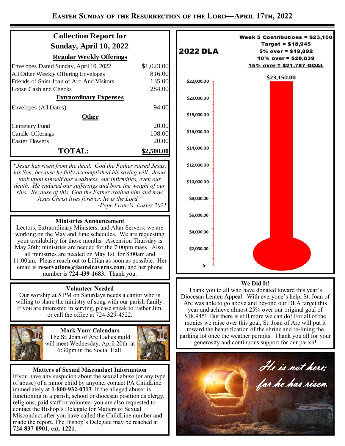| <b>Collection Report for</b>              |            |  |
|-------------------------------------------|------------|--|
| <b>Sunday, April 10, 2022</b>             |            |  |
| <b>Regular Weekly Offerings</b>           |            |  |
| Envelopes Dated Sunday, April 10, 2022    | \$1,023.00 |  |
| All Other Weekly Offering Envelopes       | 816.00     |  |
| Friends of Saint Joan of Arc And Visitors | 135.00     |  |
| Loose Cash and Checks                     | 284.00     |  |
| <b>Extraordinary Expenses</b>             |            |  |
| Envelopes (All Dates)                     | 94.00      |  |
| <b>Other</b>                              |            |  |
| Cemetery Fund                             | 20.00      |  |
| Candle Offerings                          | 108.00     |  |
| <b>Easter Flowers</b>                     | 20.00      |  |
| <b>TOTAL:</b>                             | 00.00      |  |

*"Jesus has risen from the dead. God the Father raised Jesus, his Son, because he fully accomplished his saving will. Jesus took upon himself our weakness, our infirmities, even our death. He endured our sufferings and bore the weight of our sins. Because of this, God the Father exalted him and now Jesus Christ lives forever; he is the Lord." -Pope Francis, Easter 2021*

## **Ministries Announcement**

Lectors, Extraordinary Ministers, and Altar Servers: we are working on the May and June schedules. We are requesting your availability for those months. Ascension Thursday is May 26th; ministries are needed for the 7:00pm mass. Also, all ministries are needed on May 1st, for 8:00am and 11:00am. Please reach out to Lillian as soon as possible. Her email is **reservations@laurelcaverns.com**, and her phone number is **724-439-1683.** Thank you.

### **Volunteer Needed**

Our worship at 5 PM on Saturdays needs a cantor who is willing to share the ministry of song with our parish family. If you are interested in serving, please speak to Father Jim, or call the office at 724-329-4522.



**Mark Your Calendars** The St. Joan of Arc Ladies guild will meet Wednesday, April 20th at 6:30pm in the Social Hall.



### **Matters of Sexual Misconduct Information**

If you have any suspicion about the sexual abuse (or any type of abuse) of a minor child by anyone, contact PA ChildLine immediately at **1-800-932-0313**. If the alleged abuser is functioning in a parish, school or diocesan position as clergy, religious, paid staff or volunteer you are also requested to contact the Bishop's Delegate for Matters of Sexual Misconduct after you have called the ChildLine number and made the report. The Bishop's Delegate may be reached at **724-837-0901, ext. 1221.**



#### **We Did It!**

Thank you to all who have donated toward this year's Diocesan Lenten Appeal. With everyone's help, St. Joan of Arc was able to go above and beyond our DLA target this year and achieve almost 25% over our original goal of \$18,945! But there is still more we can do! For all of the monies we raise over this goal, St. Joan of Arc will put it toward the beautification of the shrine and re-lining the parking lot once the weather permits. Thank you all for your generosity and continuous support for our parish!